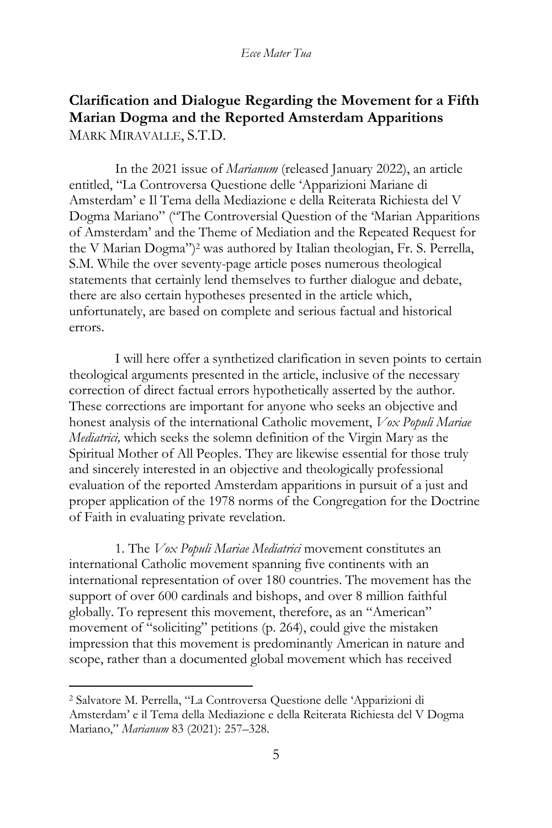# **Clarification and Dialogue Regarding the Movement for a Fifth Marian Dogma and the Reported Amsterdam Apparitions** MARK MIRAVALLE, S.T.D.

In the 2021 issue of *Marianum* (released January 2022), an article entitled, "La Controversa Questione delle 'Apparizioni Mariane di Amsterdam' e Il Tema della Mediazione e della Reiterata Richiesta del V Dogma Mariano" ("The Controversial Question of the 'Marian Apparitions of Amsterdam' and the Theme of Mediation and the Repeated Request for the V Marian Dogma")<sup>2</sup> was authored by Italian theologian, Fr. S. Perrella, S.M. While the over seventy-page article poses numerous theological statements that certainly lend themselves to further dialogue and debate, there are also certain hypotheses presented in the article which, unfortunately, are based on complete and serious factual and historical errors.

I will here offer a synthetized clarification in seven points to certain theological arguments presented in the article, inclusive of the necessary correction of direct factual errors hypothetically asserted by the author. These corrections are important for anyone who seeks an objective and honest analysis of the international Catholic movement, *Vox Populi Mariae Mediatrici,* which seeks the solemn definition of the Virgin Mary as the Spiritual Mother of All Peoples. They are likewise essential for those truly and sincerely interested in an objective and theologically professional evaluation of the reported Amsterdam apparitions in pursuit of a just and proper application of the 1978 norms of the Congregation for the Doctrine of Faith in evaluating private revelation.

1. The *Vox Populi Mariae Mediatrici* movement constitutes an international Catholic movement spanning five continents with an international representation of over 180 countries. The movement has the support of over 600 cardinals and bishops, and over 8 million faithful globally. To represent this movement, therefore, as an "American" movement of "soliciting" petitions (p. 264), could give the mistaken impression that this movement is predominantly American in nature and scope, rather than a documented global movement which has received

<sup>2</sup> Salvatore M. Perrella, "La Controversa Questione delle 'Apparizioni di Amsterdam' e il Tema della Mediazione e della Reiterata Richiesta del V Dogma Mariano," *Marianum* 83 (2021): 257–328.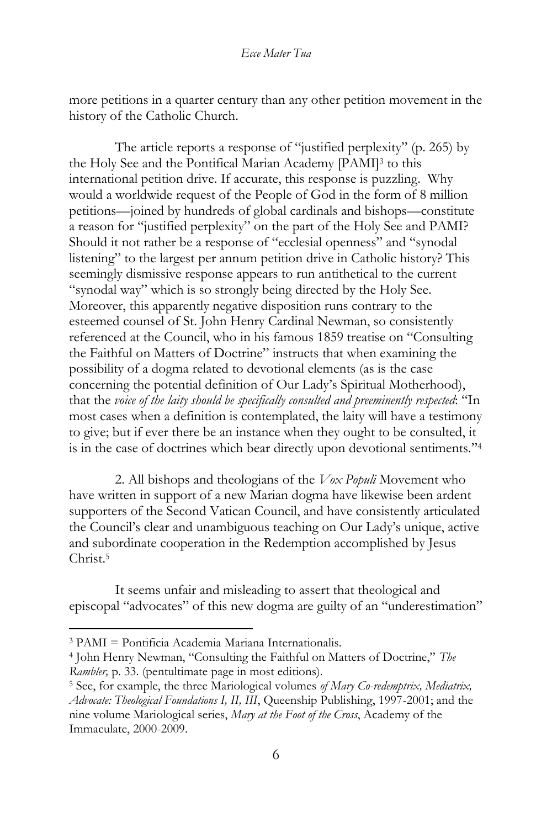more petitions in a quarter century than any other petition movement in the history of the Catholic Church.

The article reports a response of "justified perplexity" (p. 265) by the Holy See and the Pontifical Marian Academy [PAMI]<sup>3</sup> to this international petition drive. If accurate, this response is puzzling. Why would a worldwide request of the People of God in the form of 8 million petitions—joined by hundreds of global cardinals and bishops—constitute a reason for "justified perplexity" on the part of the Holy See and PAMI? Should it not rather be a response of "ecclesial openness" and "synodal listening" to the largest per annum petition drive in Catholic history? This seemingly dismissive response appears to run antithetical to the current "synodal way" which is so strongly being directed by the Holy See. Moreover, this apparently negative disposition runs contrary to the esteemed counsel of St. John Henry Cardinal Newman, so consistently referenced at the Council, who in his famous 1859 treatise on "Consulting the Faithful on Matters of Doctrine" instructs that when examining the possibility of a dogma related to devotional elements (as is the case concerning the potential definition of Our Lady's Spiritual Motherhood), that the *voice of the laity should be specifically consulted and preeminently respected*: "In most cases when a definition is contemplated, the laity will have a testimony to give; but if ever there be an instance when they ought to be consulted, it is in the case of doctrines which bear directly upon devotional sentiments."<sup>4</sup>

2. All bishops and theologians of the *Vox Populi* Movement who have written in support of a new Marian dogma have likewise been ardent supporters of the Second Vatican Council, and have consistently articulated the Council's clear and unambiguous teaching on Our Lady's unique, active and subordinate cooperation in the Redemption accomplished by Jesus Christ<sup>5</sup>

It seems unfair and misleading to assert that theological and episcopal "advocates" of this new dogma are guilty of an "underestimation"

<sup>3</sup> PAMI = Pontificia Academia Mariana Internationalis.

<sup>4</sup> John Henry Newman, "Consulting the Faithful on Matters of Doctrine," *The Rambler,* p. 33. (pentultimate page in most editions).

<sup>5</sup> See, for example, the three Mariological volumes *of Mary Co-redemptrix, Mediatrix, Advocate: Theological Foundations I, II, III*, Queenship Publishing, 1997-2001; and the nine volume Mariological series, *Mary at the Foot of the Cross*, Academy of the Immaculate, 2000-2009.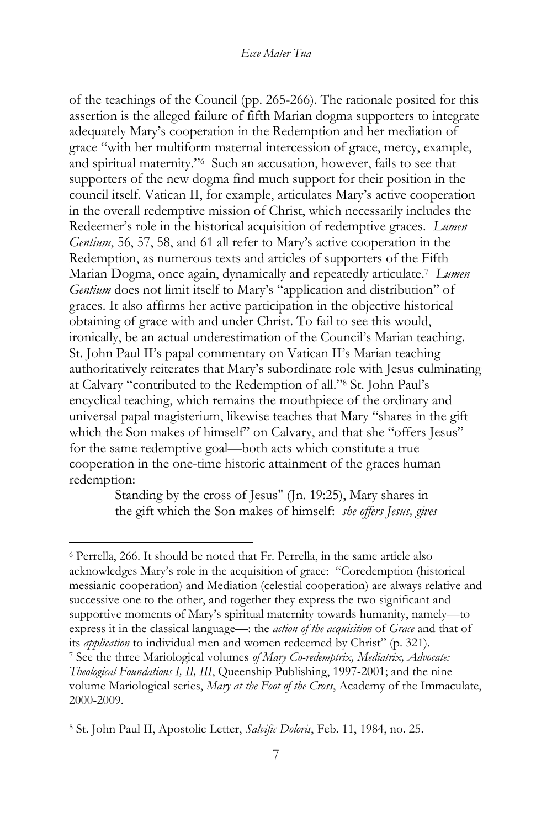of the teachings of the Council (pp. 265-266). The rationale posited for this assertion is the alleged failure of fifth Marian dogma supporters to integrate adequately Mary's cooperation in the Redemption and her mediation of grace "with her multiform maternal intercession of grace, mercy, example, and spiritual maternity."<sup>6</sup> Such an accusation, however, fails to see that supporters of the new dogma find much support for their position in the council itself. Vatican II, for example, articulates Mary's active cooperation in the overall redemptive mission of Christ, which necessarily includes the Redeemer's role in the historical acquisition of redemptive graces. *Lumen Gentium*, 56, 57, 58, and 61 all refer to Mary's active cooperation in the Redemption, as numerous texts and articles of supporters of the Fifth Marian Dogma, once again, dynamically and repeatedly articulate.<sup>7</sup> *Lumen Gentium* does not limit itself to Mary's "application and distribution" of graces. It also affirms her active participation in the objective historical obtaining of grace with and under Christ. To fail to see this would, ironically, be an actual underestimation of the Council's Marian teaching. St. John Paul II's papal commentary on Vatican II's Marian teaching authoritatively reiterates that Mary's subordinate role with Jesus culminating at Calvary "contributed to the Redemption of all."<sup>8</sup> St. John Paul's encyclical teaching, which remains the mouthpiece of the ordinary and universal papal magisterium, likewise teaches that Mary "shares in the gift which the Son makes of himself' on Calvary, and that she "offers Jesus" for the same redemptive goal—both acts which constitute a true cooperation in the one-time historic attainment of the graces human redemption:

> Standing by the cross of Jesus" (Jn. 19:25), Mary shares in the gift which the Son makes of himself: *she offers Jesus, gives*

<sup>6</sup> Perrella, 266. It should be noted that Fr. Perrella, in the same article also acknowledges Mary's role in the acquisition of grace: "Coredemption (historicalmessianic cooperation) and Mediation (celestial cooperation) are always relative and successive one to the other, and together they express the two significant and supportive moments of Mary's spiritual maternity towards humanity, namely—to express it in the classical language—: the *action of the acquisition* of *Grace* and that of its *application* to individual men and women redeemed by Christ" (p. 321). <sup>7</sup> See the three Mariological volumes *of Mary Co-redemptrix, Mediatrix, Advocate: Theological Foundations I, II, III*, Queenship Publishing, 1997-2001; and the nine volume Mariological series, *Mary at the Foot of the Cross*, Academy of the Immaculate, 2000-2009.

<sup>8</sup> St. John Paul II, Apostolic Letter, *Salvific Doloris*, Feb. 11, 1984, no. 25.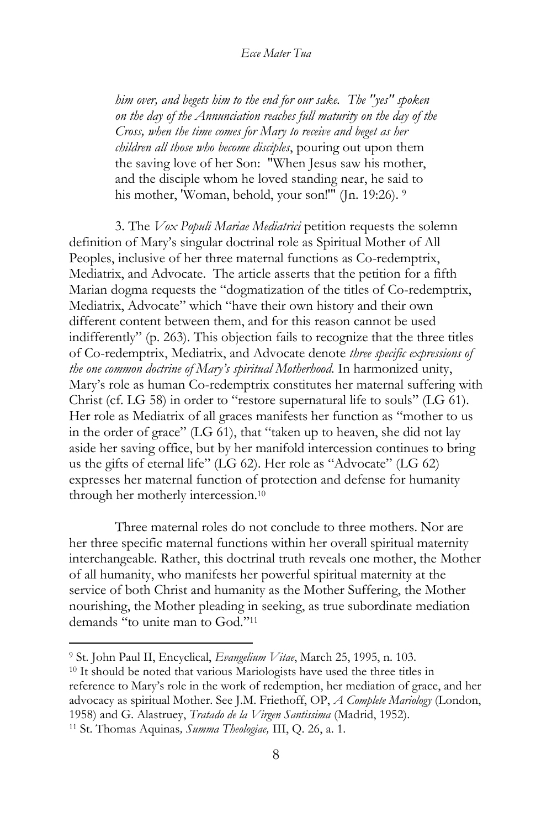*him over, and begets him to the end for our sake. The "yes" spoken on the day of the Annunciation reaches full maturity on the day of the Cross, when the time comes for Mary to receive and beget as her children all those who become disciples*, pouring out upon them the saving love of her Son: "When Jesus saw his mother, and the disciple whom he loved standing near, he said to his mother, 'Woman, behold, your son!'" (Jn. 19:26). 9

3. The *Vox Populi Mariae Mediatrici* petition requests the solemn definition of Mary's singular doctrinal role as Spiritual Mother of All Peoples, inclusive of her three maternal functions as Co-redemptrix, Mediatrix, and Advocate. The article asserts that the petition for a fifth Marian dogma requests the "dogmatization of the titles of Co-redemptrix, Mediatrix, Advocate" which "have their own history and their own different content between them, and for this reason cannot be used indifferently" (p. 263). This objection fails to recognize that the three titles of Co-redemptrix, Mediatrix, and Advocate denote *three specific expressions of the one common doctrine of Mary's spiritual Motherhood*. In harmonized unity, Mary's role as human Co-redemptrix constitutes her maternal suffering with Christ (cf. LG 58) in order to "restore supernatural life to souls" (LG 61). Her role as Mediatrix of all graces manifests her function as "mother to us in the order of grace" (LG 61), that "taken up to heaven, she did not lay aside her saving office, but by her manifold intercession continues to bring us the gifts of eternal life" (LG 62). Her role as "Advocate" (LG 62) expresses her maternal function of protection and defense for humanity through her motherly intercession.<sup>10</sup>

Three maternal roles do not conclude to three mothers. Nor are her three specific maternal functions within her overall spiritual maternity interchangeable. Rather, this doctrinal truth reveals one mother, the Mother of all humanity, who manifests her powerful spiritual maternity at the service of both Christ and humanity as the Mother Suffering, the Mother nourishing, the Mother pleading in seeking, as true subordinate mediation demands "to unite man to God."<sup>11</sup>

<sup>9</sup> St. John Paul II, Encyclical, *Evangelium Vitae*, March 25, 1995, n. 103.

<sup>10</sup> It should be noted that various Mariologists have used the three titles in reference to Mary's role in the work of redemption, her mediation of grace, and her advocacy as spiritual Mother. See J.M. Friethoff, OP, *A Complete Mariology* (London, 1958) and G. Alastruey, *Tratado de la Virgen Santissima* (Madrid, 1952).

<sup>11</sup> St. Thomas Aquinas*, Summa Theologiae,* III, Q. 26, a. 1.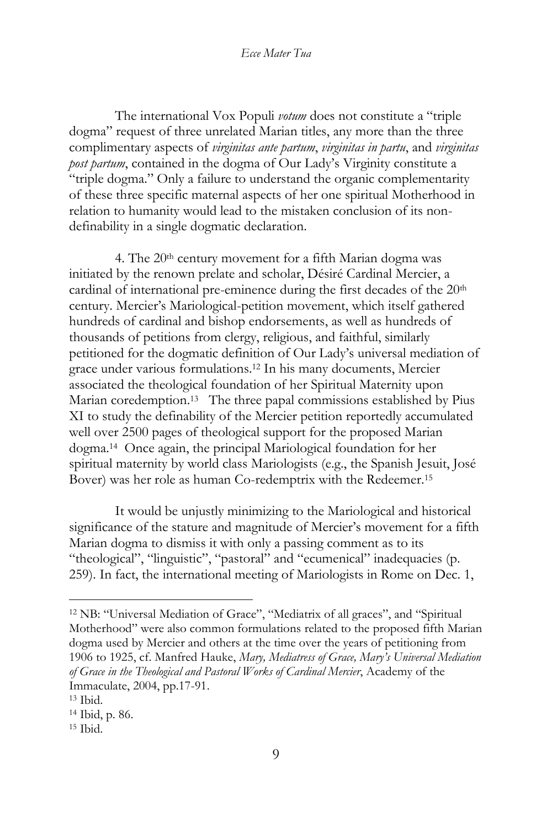The international Vox Populi *votum* does not constitute a "triple dogma" request of three unrelated Marian titles, any more than the three complimentary aspects of *virginitas ante partum*, *virginitas in partu*, and *virginitas post partum*, contained in the dogma of Our Lady's Virginity constitute a "triple dogma." Only a failure to understand the organic complementarity of these three specific maternal aspects of her one spiritual Motherhood in relation to humanity would lead to the mistaken conclusion of its nondefinability in a single dogmatic declaration.

4. The  $20<sup>th</sup>$  century movement for a fifth Marian dogma was initiated by the renown prelate and scholar, Désiré Cardinal Mercier, a cardinal of international pre-eminence during the first decades of the 20<sup>th</sup> century. Mercier's Mariological-petition movement, which itself gathered hundreds of cardinal and bishop endorsements, as well as hundreds of thousands of petitions from clergy, religious, and faithful, similarly petitioned for the dogmatic definition of Our Lady's universal mediation of grace under various formulations.<sup>12</sup> In his many documents, Mercier associated the theological foundation of her Spiritual Maternity upon Marian coredemption.<sup>13</sup> The three papal commissions established by Pius XI to study the definability of the Mercier petition reportedly accumulated well over 2500 pages of theological support for the proposed Marian dogma.<sup>14</sup> Once again, the principal Mariological foundation for her spiritual maternity by world class Mariologists (e.g., the Spanish Jesuit, José Bover) was her role as human Co-redemptrix with the Redeemer.<sup>15</sup>

It would be unjustly minimizing to the Mariological and historical significance of the stature and magnitude of Mercier's movement for a fifth Marian dogma to dismiss it with only a passing comment as to its "theological", "linguistic", "pastoral" and "ecumenical" inadequacies (p. 259). In fact, the international meeting of Mariologists in Rome on Dec. 1,

<sup>12</sup> NB: "Universal Mediation of Grace", "Mediatrix of all graces", and "Spiritual Motherhood" were also common formulations related to the proposed fifth Marian dogma used by Mercier and others at the time over the years of petitioning from 1906 to 1925, cf. Manfred Hauke, *Mary, Mediatress of Grace, Mary's Universal Mediation of Grace in the Theological and Pastoral Works of Cardinal Mercier*, Academy of the Immaculate, 2004, pp.17-91.

<sup>13</sup> Ibid.

<sup>14</sup> Ibid, p. 86.

 $15$  Ibid.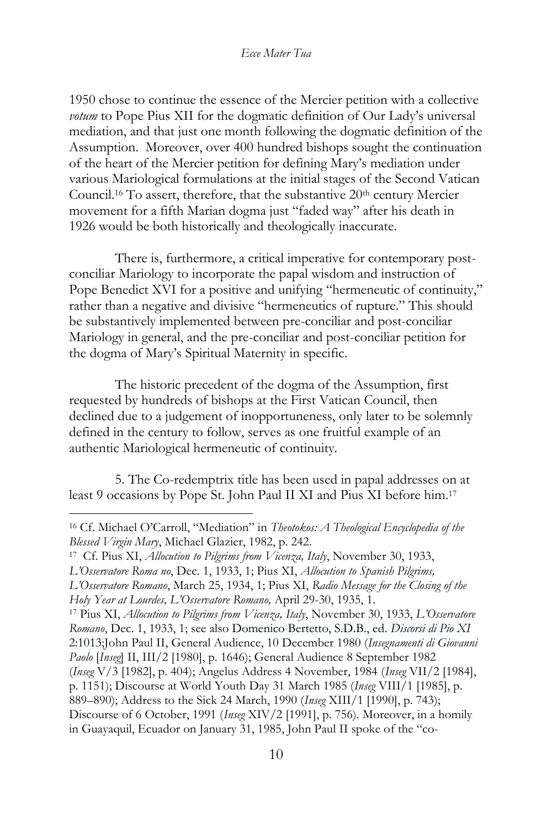1950 chose to continue the essence of the Mercier petition with a collective *votum* to Pope Pius XII for the dogmatic definition of Our Lady's universal mediation, and that just one month following the dogmatic definition of the Assumption. Moreover, over 400 hundred bishops sought the continuation of the heart of the Mercier petition for defining Mary's mediation under various Mariological formulations at the initial stages of the Second Vatican Council.<sup>16</sup> To assert, therefore, that the substantive 20<sup>th</sup> century Mercier movement for a fifth Marian dogma just "faded way" after his death in 1926 would be both historically and theologically inaccurate.

There is, furthermore, a critical imperative for contemporary postconciliar Mariology to incorporate the papal wisdom and instruction of Pope Benedict XVI for a positive and unifying "hermeneutic of continuity," rather than a negative and divisive "hermeneutics of rupture." This should be substantively implemented between pre-conciliar and post-conciliar Mariology in general, and the pre-conciliar and post-conciliar petition for the dogma of Mary's Spiritual Maternity in specific.

The historic precedent of the dogma of the Assumption, first requested by hundreds of bishops at the First Vatican Council, then declined due to a judgement of inopportuneness, only later to be solemnly defined in the century to follow, serves as one fruitful example of an authentic Mariological hermeneutic of continuity.

5. The Co-redemptrix title has been used in papal addresses on at least 9 occasions by Pope St. John Paul II XI and Pius XI before him.<sup>17</sup>

<sup>16</sup> Cf. Michael O'Carroll, "Mediation" in *Theotokos: A Theological Encyclopedia of the Blessed Virgin Mary*, Michael Glazier, 1982, p. 242.

<sup>17</sup> Cf. Pius XI, *Allocution to Pilgrims from Vicenza, Italy*, November 30, 1933,

*L'Osservatore Roma no*, Dec. 1, 1933, 1; Pius XI, *Allocution to Spanish Pilgrims,*

*L'Osservatore Romano*, March 25, 1934, 1; Pius XI, *Radio Message for the Closing of the Holy Year at Lourdes, L'Osservatore Romano,* April 29-30, 1935, 1.

<sup>17</sup> Pius XI, *Allocution to Pilgrims from Vicenza, Italy*, November 30, 1933, *L'Osservatore Romano*, Dec. 1, 1933, 1; see also Domenico Bertetto, S.D.B., ed. *Discorsi di Pio XI*

<sup>2:1013;</sup>John Paul II, General Audience, 10 December 1980 (*Insegnamenti di Giovanni Paolo* [*Inseg*] II, III/2 [1980], p. 1646); General Audience 8 September 1982

<sup>(</sup>*Inseg* V/3 [1982], p. 404); Angelus Address 4 November, 1984 (*Inseg* VII/2 [1984],

p. 1151); Discourse at World Youth Day 31 March 1985 (*Inseg* VIII/1 [1985], p.

<sup>889</sup>–890); Address to the Sick 24 March, 1990 (*Inseg* XIII/1 [1990], p. 743);

Discourse of 6 October, 1991 (*Inseg* XIV/2 [1991], p. 756). Moreover, in a homily in Guayaquil, Ecuador on January 31, 1985, John Paul II spoke of the "co-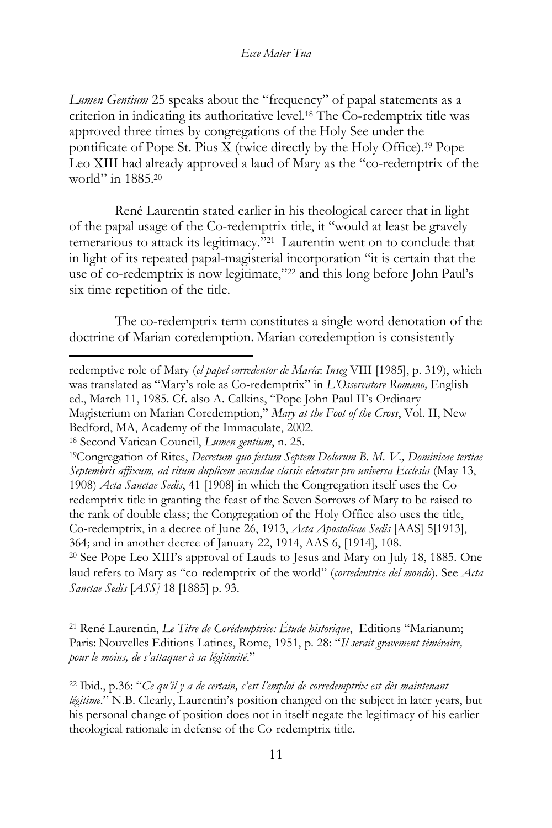*Lumen Gentium* 25 speaks about the "frequency" of papal statements as a criterion in indicating its authoritative level.<sup>18</sup> The Co-redemptrix title was approved three times by congregations of the Holy See under the pontificate of Pope St. Pius X (twice directly by the Holy Office).<sup>19</sup> Pope Leo XIII had already approved a laud of Mary as the "co-redemptrix of the world" in 1885.<sup>20</sup>

René Laurentin stated earlier in his theological career that in light of the papal usage of the Co-redemptrix title, it "would at least be gravely temerarious to attack its legitimacy."<sup>21</sup> Laurentin went on to conclude that in light of its repeated papal-magisterial incorporation "it is certain that the use of co-redemptrix is now legitimate,"<sup>22</sup> and this long before John Paul's six time repetition of the title.

The co-redemptrix term constitutes a single word denotation of the doctrine of Marian coredemption. Marian coredemption is consistently

<sup>20</sup> See Pope Leo XIII's approval of Lauds to Jesus and Mary on July 18, 1885. One laud refers to Mary as "co-redemptrix of the world" (*corredentrice del mondo*). See *Acta Sanctae Sedis* [*ASS]* 18 [1885] p. 93.

<sup>21</sup> René Laurentin, *Le Titre de Corédemptrice: Étude historique*, Editions "Marianum; Paris: Nouvelles Editions Latines, Rome, 1951, p. 28: "*Il serait gravement téméraire, pour le moins, de s'attaquer à sa légitimité*."

redemptive role of Mary (*el papel corredentor de María*: *Inseg* VIII [1985], p. 319), which was translated as "Mary's role as Co-redemptrix" in *L'Osservatore Romano,* English ed., March 11, 1985. Cf. also A. Calkins, "Pope John Paul II's Ordinary Magisterium on Marian Coredemption," *Mary at the Foot of the Cross*, Vol. II, New Bedford, MA, Academy of the Immaculate, 2002.

<sup>18</sup> Second Vatican Council, *Lumen gentium*, n. 25.

<sup>19</sup>Congregation of Rites, *Decretum quo festum Septem Dolorum B. M. V., Dominicae tertiae Septembris affixum, ad ritum duplicem secundae classis elevatur pro universa Ecclesia* (May 13, 1908) *Acta Sanctae Sedis*, 41 [1908] in which the Congregation itself uses the Coredemptrix title in granting the feast of the Seven Sorrows of Mary to be raised to the rank of double class; the Congregation of the Holy Office also uses the title, Co-redemptrix, in a decree of June 26, 1913, *Acta Apostolicae Sedis* [AAS] 5[1913], 364; and in another decree of January 22, 1914, AAS 6, [1914], 108.

<sup>22</sup> Ibid., p.36: "*Ce qu'il y a de certain, c'est l'emploi de corredemptrix est dès maintenant légitime*." N.B. Clearly, Laurentin's position changed on the subject in later years, but his personal change of position does not in itself negate the legitimacy of his earlier theological rationale in defense of the Co-redemptrix title.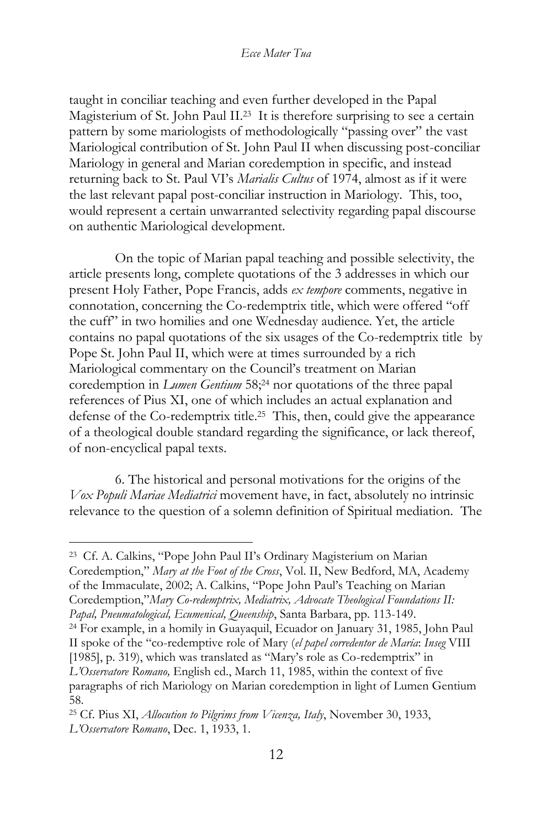taught in conciliar teaching and even further developed in the Papal Magisterium of St. John Paul II.<sup>23</sup> It is therefore surprising to see a certain pattern by some mariologists of methodologically "passing over" the vast Mariological contribution of St. John Paul II when discussing post-conciliar Mariology in general and Marian coredemption in specific, and instead returning back to St. Paul VI's *Marialis Cultus* of 1974, almost as if it were the last relevant papal post-conciliar instruction in Mariology. This, too, would represent a certain unwarranted selectivity regarding papal discourse on authentic Mariological development.

On the topic of Marian papal teaching and possible selectivity, the article presents long, complete quotations of the 3 addresses in which our present Holy Father, Pope Francis, adds *ex tempore* comments, negative in connotation, concerning the Co-redemptrix title, which were offered "off the cuff" in two homilies and one Wednesday audience. Yet, the article contains no papal quotations of the six usages of the Co-redemptrix title by Pope St. John Paul II, which were at times surrounded by a rich Mariological commentary on the Council's treatment on Marian coredemption in *Lumen Gentium* 58;<sup>24</sup> nor quotations of the three papal references of Pius XI, one of which includes an actual explanation and defense of the Co-redemptrix title.<sup>25</sup> This, then, could give the appearance of a theological double standard regarding the significance, or lack thereof, of non-encyclical papal texts.

6. The historical and personal motivations for the origins of the *Vox Populi Mariae Mediatrici* movement have, in fact, absolutely no intrinsic relevance to the question of a solemn definition of Spiritual mediation. The

<sup>23</sup> Cf. A. Calkins, "Pope John Paul II's Ordinary Magisterium on Marian Coredemption," *Mary at the Foot of the Cross*, Vol. II, New Bedford, MA, Academy of the Immaculate, 2002; A. Calkins, "Pope John Paul's Teaching on Marian Coredemption,"*Mary Co-redemptrix, Mediatrix, Advocate Theological Foundations II: Papal, Pneumatological, Ecumenical, Queenship*, Santa Barbara, pp. 113-149.

<sup>24</sup> For example, in a homily in Guayaquil, Ecuador on January 31, 1985, John Paul II spoke of the "co-redemptive role of Mary (*el papel corredentor de María*: *Inseg* VIII [1985], p. 319), which was translated as "Mary's role as Co-redemptrix" in *L'Osservatore Romano,* English ed., March 11, 1985, within the context of five paragraphs of rich Mariology on Marian coredemption in light of Lumen Gentium 58.

<sup>25</sup> Cf. Pius XI, *Allocution to Pilgrims from Vicenza, Italy*, November 30, 1933, *L'Osservatore Romano*, Dec. 1, 1933, 1.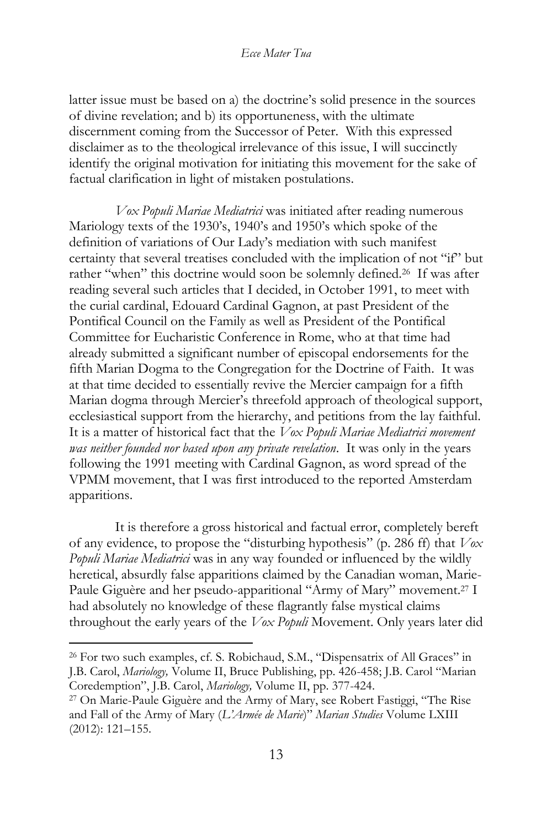latter issue must be based on a) the doctrine's solid presence in the sources of divine revelation; and b) its opportuneness, with the ultimate discernment coming from the Successor of Peter. With this expressed disclaimer as to the theological irrelevance of this issue, I will succinctly identify the original motivation for initiating this movement for the sake of factual clarification in light of mistaken postulations.

*Vox Populi Mariae Mediatrici* was initiated after reading numerous Mariology texts of the 1930's, 1940's and 1950's which spoke of the definition of variations of Our Lady's mediation with such manifest certainty that several treatises concluded with the implication of not "if" but rather "when" this doctrine would soon be solemnly defined.<sup>26</sup> If was after reading several such articles that I decided, in October 1991, to meet with the curial cardinal, Edouard Cardinal Gagnon, at past President of the Pontifical Council on the Family as well as President of the Pontifical Committee for Eucharistic Conference in Rome, who at that time had already submitted a significant number of episcopal endorsements for the fifth Marian Dogma to the Congregation for the Doctrine of Faith. It was at that time decided to essentially revive the Mercier campaign for a fifth Marian dogma through Mercier's threefold approach of theological support, ecclesiastical support from the hierarchy, and petitions from the lay faithful. It is a matter of historical fact that the *Vox Populi Mariae Mediatrici movement was neither founded nor based upon any private revelation*. It was only in the years following the 1991 meeting with Cardinal Gagnon, as word spread of the VPMM movement, that I was first introduced to the reported Amsterdam apparitions.

It is therefore a gross historical and factual error, completely bereft of any evidence, to propose the "disturbing hypothesis" (p. 286 ff) that *Vox Populi Mariae Mediatrici* was in any way founded or influenced by the wildly heretical, absurdly false apparitions claimed by the Canadian woman, Marie-Paule Giguère and her pseudo-apparitional "Army of Mary" movement.<sup>27</sup> I had absolutely no knowledge of these flagrantly false mystical claims throughout the early years of the *Vox Populi* Movement. Only years later did

<sup>&</sup>lt;sup>26</sup> For two such examples, cf. S. Robichaud, S.M., "Dispensatrix of All Graces" in J.B. Carol, *Mariology,* Volume II, Bruce Publishing, pp. 426-458; J.B. Carol "Marian Coredemption", J.B. Carol, *Mariology,* Volume II, pp. 377-424.

<sup>27</sup> On Marie-Paule Giguère and the Army of Mary, see Robert Fastiggi, "The Rise and Fall of the Army of Mary (*L'Armée de Marie*)" *Marian Studies* Volume LXIII (2012): 121–155.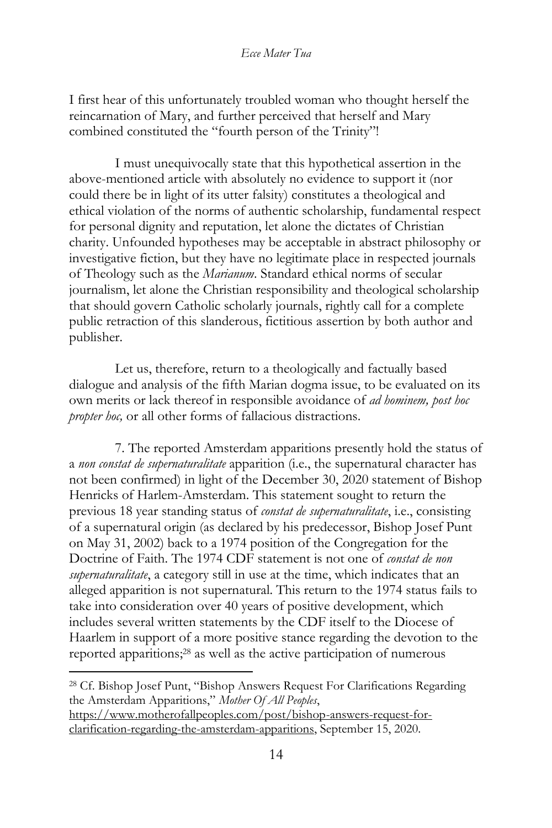I first hear of this unfortunately troubled woman who thought herself the reincarnation of Mary, and further perceived that herself and Mary combined constituted the "fourth person of the Trinity"!

I must unequivocally state that this hypothetical assertion in the above-mentioned article with absolutely no evidence to support it (nor could there be in light of its utter falsity) constitutes a theological and ethical violation of the norms of authentic scholarship, fundamental respect for personal dignity and reputation, let alone the dictates of Christian charity. Unfounded hypotheses may be acceptable in abstract philosophy or investigative fiction, but they have no legitimate place in respected journals of Theology such as the *Marianum*. Standard ethical norms of secular journalism, let alone the Christian responsibility and theological scholarship that should govern Catholic scholarly journals, rightly call for a complete public retraction of this slanderous, fictitious assertion by both author and publisher.

Let us, therefore, return to a theologically and factually based dialogue and analysis of the fifth Marian dogma issue, to be evaluated on its own merits or lack thereof in responsible avoidance of *ad hominem, post hoc propter hoc,* or all other forms of fallacious distractions.

7. The reported Amsterdam apparitions presently hold the status of a *non constat de supernaturalitate* apparition (i.e., the supernatural character has not been confirmed) in light of the December 30, 2020 statement of Bishop Henricks of Harlem-Amsterdam. This statement sought to return the previous 18 year standing status of *constat de supernaturalitate*, i.e., consisting of a supernatural origin (as declared by his predecessor, Bishop Josef Punt on May 31, 2002) back to a 1974 position of the Congregation for the Doctrine of Faith. The 1974 CDF statement is not one of *constat de non supernaturalitate*, a category still in use at the time, which indicates that an alleged apparition is not supernatural. This return to the 1974 status fails to take into consideration over 40 years of positive development, which includes several written statements by the CDF itself to the Diocese of Haarlem in support of a more positive stance regarding the devotion to the reported apparitions;<sup>28</sup> as well as the active participation of numerous

<sup>28</sup> Cf. Bishop Josef Punt, "Bishop Answers Request For Clarifications Regarding the Amsterdam Apparitions," *Mother Of All Peoples*,

[https://www.motherofallpeoples.com/post/bishop-answers-request-for](https://www.motherofallpeoples.com/post/bishop-answers-request-for-clarification-regarding-the-amsterdam-apparitions)[clarification-regarding-the-amsterdam-apparitions,](https://www.motherofallpeoples.com/post/bishop-answers-request-for-clarification-regarding-the-amsterdam-apparitions) September 15, 2020.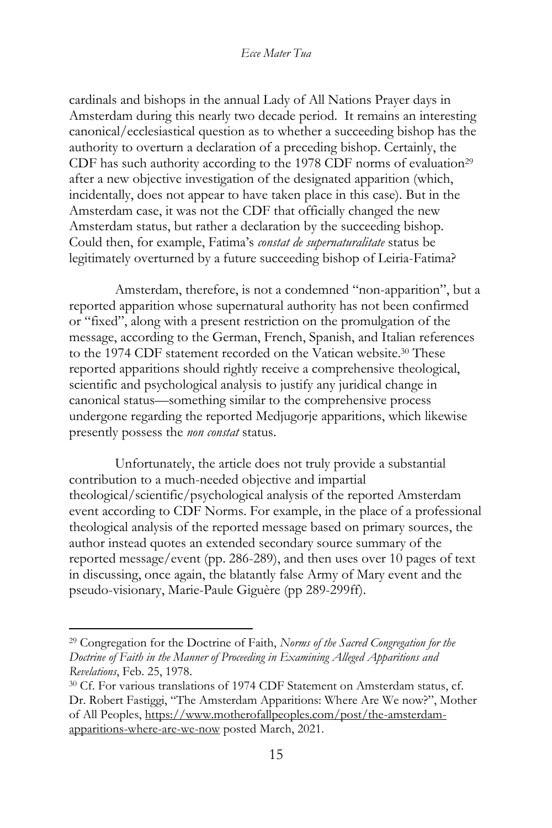cardinals and bishops in the annual Lady of All Nations Prayer days in Amsterdam during this nearly two decade period. It remains an interesting canonical/ecclesiastical question as to whether a succeeding bishop has the authority to overturn a declaration of a preceding bishop. Certainly, the CDF has such authority according to the 1978 CDF norms of evaluation<sup>29</sup> after a new objective investigation of the designated apparition (which, incidentally, does not appear to have taken place in this case). But in the Amsterdam case, it was not the CDF that officially changed the new Amsterdam status, but rather a declaration by the succeeding bishop. Could then, for example, Fatima's *constat de supernaturalitate* status be legitimately overturned by a future succeeding bishop of Leiria-Fatima?

Amsterdam, therefore, is not a condemned "non-apparition", but a reported apparition whose supernatural authority has not been confirmed or "fixed", along with a present restriction on the promulgation of the message, according to the German, French, Spanish, and Italian references to the 1974 CDF statement recorded on the Vatican website.<sup>30</sup> These reported apparitions should rightly receive a comprehensive theological, scientific and psychological analysis to justify any juridical change in canonical status—something similar to the comprehensive process undergone regarding the reported Medjugorje apparitions, which likewise presently possess the *non constat* status.

Unfortunately, the article does not truly provide a substantial contribution to a much-needed objective and impartial theological/scientific/psychological analysis of the reported Amsterdam event according to CDF Norms. For example, in the place of a professional theological analysis of the reported message based on primary sources, the author instead quotes an extended secondary source summary of the reported message/event (pp. 286-289), and then uses over 10 pages of text in discussing, once again, the blatantly false Army of Mary event and the pseudo-visionary, Marie-Paule Giguère (pp 289-299ff).

<sup>29</sup> Congregation for the Doctrine of Faith, *Norms of the Sacred Congregation for the Doctrine of Faith in the Manner of Proceeding in Examining Alleged Apparitions and Revelations*, Feb. 25, 1978.

<sup>30</sup> Cf. For various translations of 1974 CDF Statement on Amsterdam status, cf. Dr. Robert Fastiggi, "The Amsterdam Apparitions: Where Are We now?", Mother of All Peoples, [https://www.motherofallpeoples.com/post/the-amsterdam](https://www.motherofallpeoples.com/post/the-amsterdam-apparitions-where-are-we-now)[apparitions-where-are-we-now](https://www.motherofallpeoples.com/post/the-amsterdam-apparitions-where-are-we-now) posted March, 2021.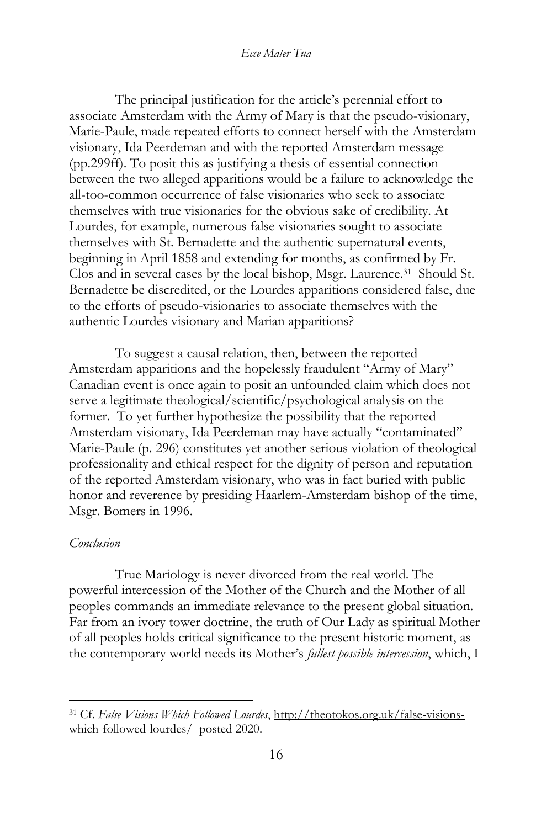The principal justification for the article's perennial effort to associate Amsterdam with the Army of Mary is that the pseudo-visionary, Marie-Paule, made repeated efforts to connect herself with the Amsterdam visionary, Ida Peerdeman and with the reported Amsterdam message (pp.299ff). To posit this as justifying a thesis of essential connection between the two alleged apparitions would be a failure to acknowledge the all-too-common occurrence of false visionaries who seek to associate themselves with true visionaries for the obvious sake of credibility. At Lourdes, for example, numerous false visionaries sought to associate themselves with St. Bernadette and the authentic supernatural events, beginning in April 1858 and extending for months, as confirmed by Fr. Clos and in several cases by the local bishop, Msgr. Laurence.<sup>31</sup> Should St. Bernadette be discredited, or the Lourdes apparitions considered false, due to the efforts of pseudo-visionaries to associate themselves with the authentic Lourdes visionary and Marian apparitions?

To suggest a causal relation, then, between the reported Amsterdam apparitions and the hopelessly fraudulent "Army of Mary" Canadian event is once again to posit an unfounded claim which does not serve a legitimate theological/scientific/psychological analysis on the former. To yet further hypothesize the possibility that the reported Amsterdam visionary, Ida Peerdeman may have actually "contaminated" Marie-Paule (p. 296) constitutes yet another serious violation of theological professionality and ethical respect for the dignity of person and reputation of the reported Amsterdam visionary, who was in fact buried with public honor and reverence by presiding Haarlem-Amsterdam bishop of the time, Msgr. Bomers in 1996.

### *Conclusion*

True Mariology is never divorced from the real world. The powerful intercession of the Mother of the Church and the Mother of all peoples commands an immediate relevance to the present global situation. Far from an ivory tower doctrine, the truth of Our Lady as spiritual Mother of all peoples holds critical significance to the present historic moment, as the contemporary world needs its Mother's *fullest possible intercession*, which, I

<sup>31</sup> Cf. *False Visions Which Followed Lourdes*, [http://theotokos.org.uk/false-visions](http://theotokos.org.uk/false-visions-which-followed-lourdes/)[which-followed-lourdes/](http://theotokos.org.uk/false-visions-which-followed-lourdes/) posted 2020.